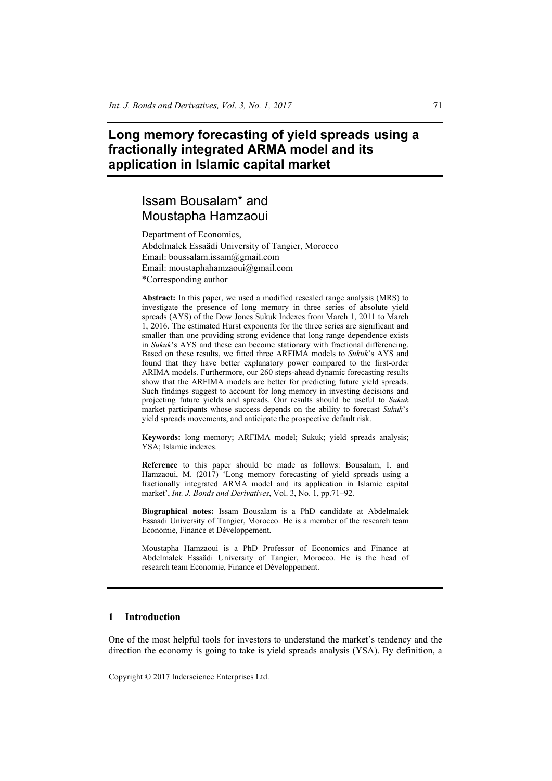# **Long memory forecasting of yield spreads using a fractionally integrated ARMA model and its application in Islamic capital market**

# Issam Bousalam\* and Moustapha Hamzaoui

Department of Economics, Abdelmalek Essaädi University of Tangier, Morocco Email: boussalam.issam@gmail.com Email: moustaphahamzaoui@gmail.com \*Corresponding author

**Abstract:** In this paper, we used a modified rescaled range analysis (MRS) to investigate the presence of long memory in three series of absolute yield spreads (AYS) of the Dow Jones Sukuk Indexes from March 1, 2011 to March 1, 2016. The estimated Hurst exponents for the three series are significant and smaller than one providing strong evidence that long range dependence exists in *Sukuk*'s AYS and these can become stationary with fractional differencing. Based on these results, we fitted three ARFIMA models to *Sukuk*'s AYS and found that they have better explanatory power compared to the first-order ARIMA models. Furthermore, our 260 steps-ahead dynamic forecasting results show that the ARFIMA models are better for predicting future yield spreads. Such findings suggest to account for long memory in investing decisions and projecting future yields and spreads. Our results should be useful to *Sukuk* market participants whose success depends on the ability to forecast *Sukuk*'s yield spreads movements, and anticipate the prospective default risk.

**Keywords:** long memory; ARFIMA model; Sukuk; yield spreads analysis; YSA; Islamic indexes.

**Reference** to this paper should be made as follows: Bousalam, I. and Hamzaoui, M. (2017) 'Long memory forecasting of yield spreads using a fractionally integrated ARMA model and its application in Islamic capital market', *Int. J. Bonds and Derivatives*, Vol. 3, No. 1, pp.71–92.

**Biographical notes:** Issam Bousalam is a PhD candidate at Abdelmalek Essaadi University of Tangier, Morocco. He is a member of the research team Economie, Finance et Développement.

Moustapha Hamzaoui is a PhD Professor of Economics and Finance at Abdelmalek Essaädi University of Tangier, Morocco. He is the head of research team Economie, Finance et Développement.

# **1 Introduction**

One of the most helpful tools for investors to understand the market's tendency and the direction the economy is going to take is yield spreads analysis (YSA). By definition, a

Copyright © 2017 Inderscience Enterprises Ltd.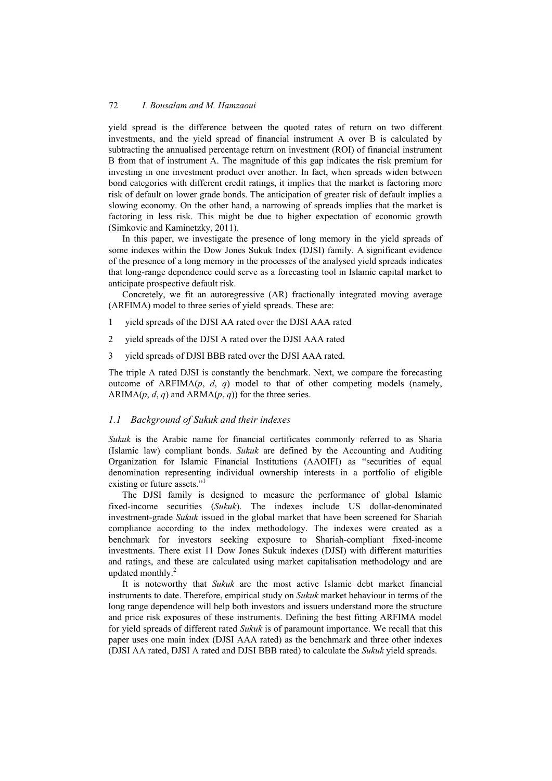yield spread is the difference between the quoted rates of return on two different investments, and the yield spread of financial instrument A over B is calculated by subtracting the annualised percentage return on investment (ROI) of financial instrument B from that of instrument A. The magnitude of this gap indicates the risk premium for investing in one investment product over another. In fact, when spreads widen between bond categories with different credit ratings, it implies that the market is factoring more risk of default on lower grade bonds. The anticipation of greater risk of default implies a slowing economy. On the other hand, a narrowing of spreads implies that the market is factoring in less risk. This might be due to higher expectation of economic growth (Simkovic and Kaminetzky, 2011).

In this paper, we investigate the presence of long memory in the yield spreads of some indexes within the Dow Jones Sukuk Index (DJSI) family. A significant evidence of the presence of a long memory in the processes of the analysed yield spreads indicates that long-range dependence could serve as a forecasting tool in Islamic capital market to anticipate prospective default risk.

Concretely, we fit an autoregressive (AR) fractionally integrated moving average (ARFIMA) model to three series of yield spreads. These are:

- yield spreads of the DJSI AA rated over the DJSI AAA rated
- 2 yield spreads of the DJSI A rated over the DJSI AAA rated
- 3 yield spreads of DJSI BBB rated over the DJSI AAA rated.

The triple A rated DJSI is constantly the benchmark. Next, we compare the forecasting outcome of  $ARFIMA(p, d, q)$  model to that of other competing models (namely, ARIMA( $p$ ,  $d$ ,  $q$ ) and ARMA( $p$ ,  $q$ )) for the three series.

## *1.1 Background of Sukuk and their indexes*

*Sukuk* is the Arabic name for financial certificates commonly referred to as Sharia (Islamic law) compliant bonds. *Sukuk* are defined by the Accounting and Auditing Organization for Islamic Financial Institutions (AAOIFI) as "securities of equal denomination representing individual ownership interests in a portfolio of eligible existing or future assets."<sup>1</sup>

The DJSI family is designed to measure the performance of global Islamic fixed-income securities (*Sukuk*). The indexes include US dollar-denominated investment-grade *Sukuk* issued in the global market that have been screened for Shariah compliance according to the index methodology. The indexes were created as a benchmark for investors seeking exposure to Shariah-compliant fixed-income investments. There exist 11 Dow Jones Sukuk indexes (DJSI) with different maturities and ratings, and these are calculated using market capitalisation methodology and are updated monthly. $^{2}$ 

It is noteworthy that *Sukuk* are the most active Islamic debt market financial instruments to date. Therefore, empirical study on *Sukuk* market behaviour in terms of the long range dependence will help both investors and issuers understand more the structure and price risk exposures of these instruments. Defining the best fitting ARFIMA model for yield spreads of different rated *Sukuk* is of paramount importance. We recall that this paper uses one main index (DJSI AAA rated) as the benchmark and three other indexes (DJSI AA rated, DJSI A rated and DJSI BBB rated) to calculate the *Sukuk* yield spreads.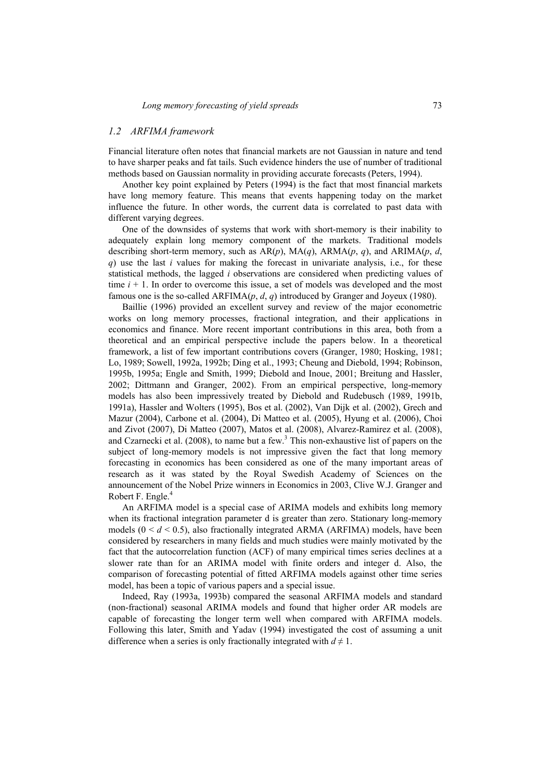# *1.2 ARFIMA framework*

Financial literature often notes that financial markets are not Gaussian in nature and tend to have sharper peaks and fat tails. Such evidence hinders the use of number of traditional methods based on Gaussian normality in providing accurate forecasts (Peters, 1994).

Another key point explained by Peters (1994) is the fact that most financial markets have long memory feature. This means that events happening today on the market influence the future. In other words, the current data is correlated to past data with different varying degrees.

One of the downsides of systems that work with short-memory is their inability to adequately explain long memory component of the markets. Traditional models describing short-term memory, such as AR(*p*), MA(*q*), ARMA(*p*, *q*), and ARIMA(*p*, *d*, *q*) use the last *i* values for making the forecast in univariate analysis, i.e., for these statistical methods, the lagged *i* observations are considered when predicting values of time *i* + 1. In order to overcome this issue, a set of models was developed and the most famous one is the so-called  $ARFIMA(p, d, q)$  introduced by Granger and Joyeux (1980).

Baillie (1996) provided an excellent survey and review of the major econometric works on long memory processes, fractional integration, and their applications in economics and finance. More recent important contributions in this area, both from a theoretical and an empirical perspective include the papers below. In a theoretical framework, a list of few important contributions covers (Granger, 1980; Hosking, 1981; Lo, 1989; Sowell, 1992a, 1992b; Ding et al., 1993; Cheung and Diebold, 1994; Robinson, 1995b, 1995a; Engle and Smith, 1999; Diebold and Inoue, 2001; Breitung and Hassler, 2002; Dittmann and Granger, 2002). From an empirical perspective, long-memory models has also been impressively treated by Diebold and Rudebusch (1989, 1991b, 1991a), Hassler and Wolters (1995), Bos et al. (2002), Van Dijk et al. (2002), Grech and Mazur (2004), Carbone et al. (2004), Di Matteo et al. (2005), Hyung et al. (2006), Choi and Zivot (2007), Di Matteo (2007), Matos et al. (2008), Alvarez-Ramirez et al. (2008), and Czarnecki et al.  $(2008)$ , to name but a few.<sup>3</sup> This non-exhaustive list of papers on the subject of long-memory models is not impressive given the fact that long memory forecasting in economics has been considered as one of the many important areas of research as it was stated by the Royal Swedish Academy of Sciences on the announcement of the Nobel Prize winners in Economics in 2003, Clive W.J. Granger and Robert F. Engle.<sup>4</sup>

An ARFIMA model is a special case of ARIMA models and exhibits long memory when its fractional integration parameter d is greater than zero. Stationary long-memory models  $(0 < d < 0.5)$ , also fractionally integrated ARMA (ARFIMA) models, have been considered by researchers in many fields and much studies were mainly motivated by the fact that the autocorrelation function (ACF) of many empirical times series declines at a slower rate than for an ARIMA model with finite orders and integer d. Also, the comparison of forecasting potential of fitted ARFIMA models against other time series model, has been a topic of various papers and a special issue.

Indeed, Ray (1993a, 1993b) compared the seasonal ARFIMA models and standard (non-fractional) seasonal ARIMA models and found that higher order AR models are capable of forecasting the longer term well when compared with ARFIMA models. Following this later, Smith and Yadav (1994) investigated the cost of assuming a unit difference when a series is only fractionally integrated with  $d \neq 1$ .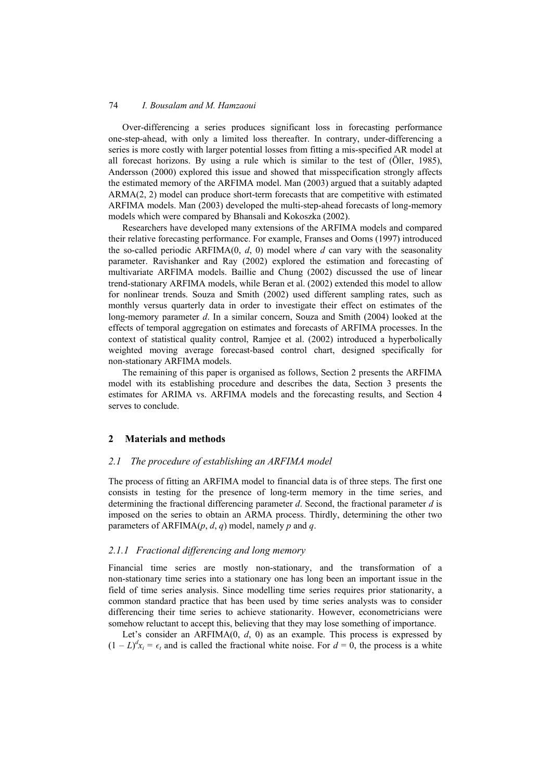Over-differencing a series produces significant loss in forecasting performance one-step-ahead, with only a limited loss thereafter. In contrary, under-differencing a series is more costly with larger potential losses from fitting a mis-specified AR model at all forecast horizons. By using a rule which is similar to the test of (Öller, 1985), Andersson (2000) explored this issue and showed that misspecification strongly affects the estimated memory of the ARFIMA model. Man (2003) argued that a suitably adapted ARMA(2, 2) model can produce short-term forecasts that are competitive with estimated ARFIMA models. Man (2003) developed the multi-step-ahead forecasts of long-memory models which were compared by Bhansali and Kokoszka (2002).

Researchers have developed many extensions of the ARFIMA models and compared their relative forecasting performance. For example, Franses and Ooms (1997) introduced the so-called periodic  $ARFIMA(0, d, 0)$  model where *d* can vary with the seasonality parameter. Ravishanker and Ray (2002) explored the estimation and forecasting of multivariate ARFIMA models. Baillie and Chung (2002) discussed the use of linear trend-stationary ARFIMA models, while Beran et al. (2002) extended this model to allow for nonlinear trends. Souza and Smith (2002) used different sampling rates, such as monthly versus quarterly data in order to investigate their effect on estimates of the long-memory parameter *d*. In a similar concern, Souza and Smith (2004) looked at the effects of temporal aggregation on estimates and forecasts of ARFIMA processes. In the context of statistical quality control, Ramjee et al. (2002) introduced a hyperbolically weighted moving average forecast-based control chart, designed specifically for non-stationary ARFIMA models.

The remaining of this paper is organised as follows, Section 2 presents the ARFIMA model with its establishing procedure and describes the data, Section 3 presents the estimates for ARIMA vs. ARFIMA models and the forecasting results, and Section 4 serves to conclude.

#### **2 Materials and methods**

## *2.1 The procedure of establishing an ARFIMA model*

The process of fitting an ARFIMA model to financial data is of three steps. The first one consists in testing for the presence of long-term memory in the time series, and determining the fractional differencing parameter *d*. Second, the fractional parameter *d* is imposed on the series to obtain an ARMA process. Thirdly, determining the other two parameters of ARFIMA(*p*, *d*, *q*) model, namely *p* and *q*.

#### *2.1.1 Fractional differencing and long memory*

Financial time series are mostly non-stationary, and the transformation of a non-stationary time series into a stationary one has long been an important issue in the field of time series analysis. Since modelling time series requires prior stationarity, a common standard practice that has been used by time series analysts was to consider differencing their time series to achieve stationarity. However, econometricians were somehow reluctant to accept this, believing that they may lose something of importance.

Let's consider an ARFIMA(0, *d*, 0) as an example. This process is expressed by  $(1 - L)^d x_i = \epsilon_t$  and is called the fractional white noise. For  $d = 0$ , the process is a white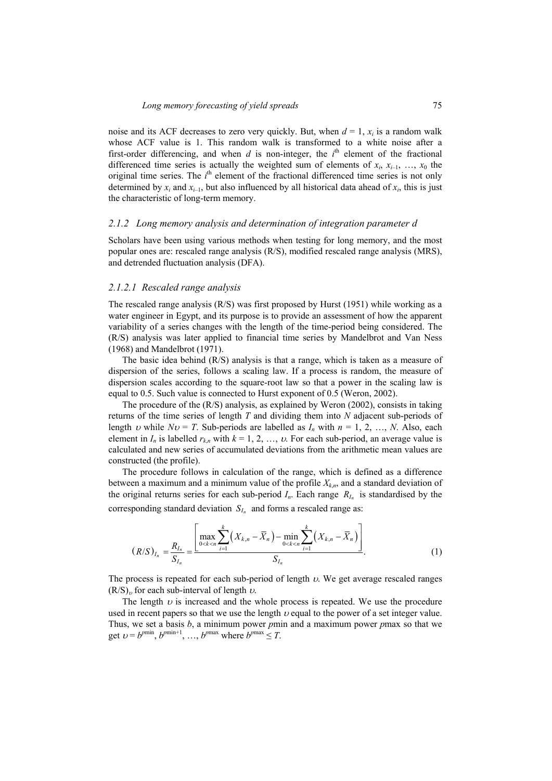noise and its ACF decreases to zero very quickly. But, when  $d = 1$ ,  $x_i$  is a random walk whose ACF value is 1. This random walk is transformed to a white noise after a first-order differencing, and when  $d$  is non-integer, the  $i<sup>th</sup>$  element of the fractional differenced time series is actually the weighted sum of elements of  $x_i$ ,  $x_{i-1}$ , …,  $x_0$  the original time series. The *i*<sup>th</sup> element of the fractional differenced time series is not only determined by  $x_i$  and  $x_{i-1}$ , but also influenced by all historical data ahead of  $x_i$ , this is just the characteristic of long-term memory.

#### *2.1.2 Long memory analysis and determination of integration parameter d*

Scholars have been using various methods when testing for long memory, and the most popular ones are: rescaled range analysis (R/S), modified rescaled range analysis (MRS), and detrended fluctuation analysis (DFA).

#### *2.1.2.1 Rescaled range analysis*

The rescaled range analysis (R/S) was first proposed by Hurst (1951) while working as a water engineer in Egypt, and its purpose is to provide an assessment of how the apparent variability of a series changes with the length of the time-period being considered. The (R/S) analysis was later applied to financial time series by Mandelbrot and Van Ness (1968) and Mandelbrot (1971).

The basic idea behind (R/S) analysis is that a range, which is taken as a measure of dispersion of the series, follows a scaling law. If a process is random, the measure of dispersion scales according to the square-root law so that a power in the scaling law is equal to 0.5. Such value is connected to Hurst exponent of 0.5 (Weron, 2002).

The procedure of the (R/S) analysis, as explained by Weron (2002), consists in taking returns of the time series of length *T* and dividing them into *N* adjacent sub-periods of length v while  $Nv = T$ . Sub-periods are labelled as  $I_n$  with  $n = 1, 2, ..., N$ . Also, each element in  $I_n$  is labelled  $r_{k,n}$  with  $k = 1, 2, ..., v$ . For each sub-period, an average value is calculated and new series of accumulated deviations from the arithmetic mean values are constructed (the profile).

The procedure follows in calculation of the range, which is defined as a difference between a maximum and a minimum value of the profile  $X_{k,n}$ , and a standard deviation of the original returns series for each sub-period  $I_n$ . Each range  $R_{I_n}$  is standardised by the corresponding standard deviation  $S_{I_n}$  and forms a rescaled range as:

$$
(R/S)_{I_n} = \frac{R_{I_n}}{S_{I_n}} = \frac{\left[\max_{0 < k < n} \sum_{i=1}^k (X_{k,n} - \overline{X}_n) - \min_{0 < k < n} \sum_{i=1}^k (X_{k,n} - \overline{X}_n)\right]}{S_{I_n}}.\tag{1}
$$

The process is repeated for each sub-period of length  $\nu$ . We get average rescaled ranges  $(R/S)_\nu$  for each sub-interval of length  $\nu$ .

The length  $\nu$  is increased and the whole process is repeated. We use the procedure used in recent papers so that we use the length  $\nu$  equal to the power of a set integer value. Thus, we set a basis *b*, a minimum power *p*min and a maximum power *p*max so that we get  $v = b^{pmin}$ ,  $b^{pmin+1}$ , ...,  $b^{pmax}$  where  $b^{pmax} \le T$ .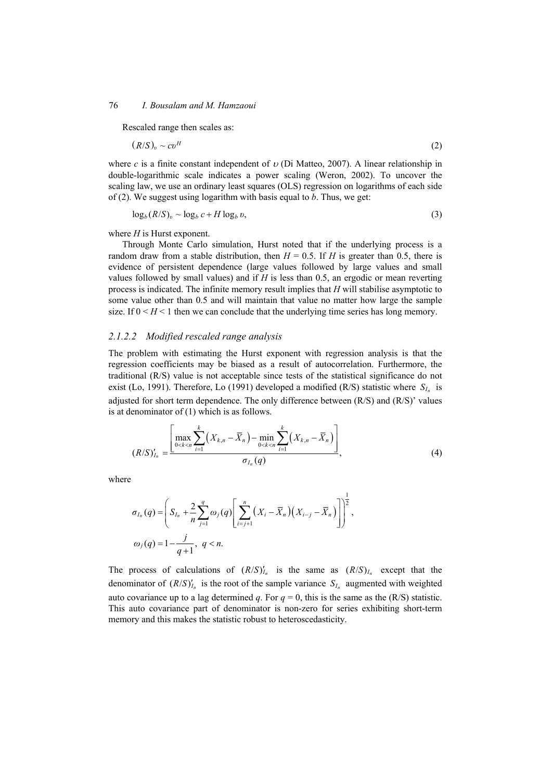Rescaled range then scales as:

$$
(R/S)_v \sim c v^H \tag{2}
$$

where *c* is a finite constant independent of  $\nu$  (Di Matteo, 2007). A linear relationship in double-logarithmic scale indicates a power scaling (Weron, 2002). To uncover the scaling law, we use an ordinary least squares (OLS) regression on logarithms of each side of (2). We suggest using logarithm with basis equal to *b*. Thus, we get:

$$
\log_b(R/S)_v \sim \log_b c + H \log_b v,\tag{3}
$$

where *H* is Hurst exponent.

Through Monte Carlo simulation, Hurst noted that if the underlying process is a random draw from a stable distribution, then  $H = 0.5$ . If *H* is greater than 0.5, there is evidence of persistent dependence (large values followed by large values and small values followed by small values) and if *H* is less than 0.5, an ergodic or mean reverting process is indicated. The infinite memory result implies that *H* will stabilise asymptotic to some value other than 0.5 and will maintain that value no matter how large the sample size. If  $0 \leq H \leq 1$  then we can conclude that the underlying time series has long memory.

#### *2.1.2.2 Modified rescaled range analysis*

The problem with estimating the Hurst exponent with regression analysis is that the regression coefficients may be biased as a result of autocorrelation. Furthermore, the traditional (R/S) value is not acceptable since tests of the statistical significance do not exist (Lo, 1991). Therefore, Lo (1991) developed a modified (R/S) statistic where  $S_{I_n}$  is adjusted for short term dependence. The only difference between (R/S) and (R/S)' values is at denominator of  $(1)$  which is as follows.

$$
(R/S)_{I_n}' = \frac{\left[\max_{0 < k < n} \sum_{i=1}^k (X_{k,n} - \overline{X}_n) - \min_{0 < k < n} \sum_{i=1}^k (X_{k,n} - \overline{X}_n)\right]}{\sigma_{I_n}(q)},
$$
(4)

where

$$
\sigma_{I_n}(q) = \left(S_{I_n} + \frac{2}{n} \sum_{j=1}^q \omega_j(q) \left[\sum_{i=j+1}^n (X_i - \overline{X}_n)(X_{i-j} - \overline{X}_n)\right]\right]^{\frac{1}{2}},
$$
  

$$
\omega_j(q) = 1 - \frac{j}{q+1}, \ q < n.
$$

The process of calculations of  $(R/S)'_{I_n}$  is the same as  $(R/S)_{I_n}$  except that the denominator of  $(R/S)_{I_n}$  is the root of the sample variance  $S_{I_n}$  augmented with weighted auto covariance up to a lag determined *q*. For  $q = 0$ , this is the same as the (R/S) statistic. This auto covariance part of denominator is non-zero for series exhibiting short-term memory and this makes the statistic robust to heteroscedasticity.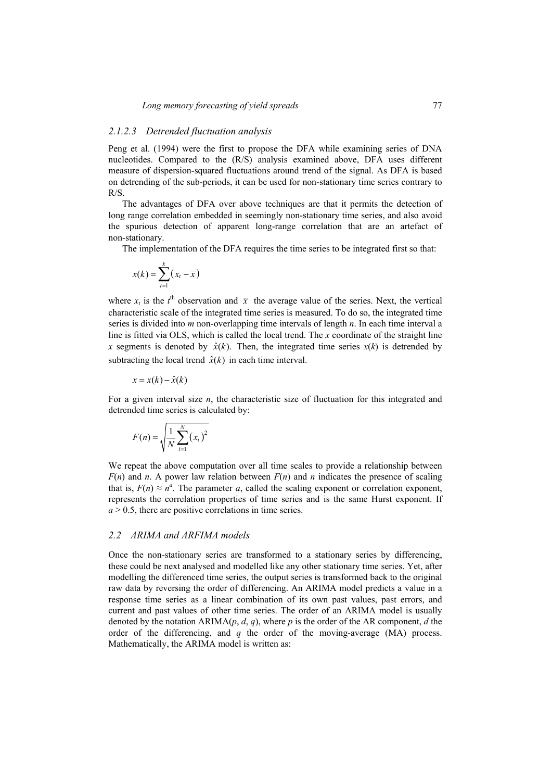# *2.1.2.3 Detrended fluctuation analysis*

Peng et al. (1994) were the first to propose the DFA while examining series of DNA nucleotides. Compared to the (R/S) analysis examined above, DFA uses different measure of dispersion-squared fluctuations around trend of the signal. As DFA is based on detrending of the sub-periods, it can be used for non-stationary time series contrary to R/S.

The advantages of DFA over above techniques are that it permits the detection of long range correlation embedded in seemingly non-stationary time series, and also avoid the spurious detection of apparent long-range correlation that are an artefact of non-stationary.

The implementation of the DFA requires the time series to be integrated first so that:

$$
x(k) = \sum_{t=1}^{k} (x_t - \overline{x})
$$

where  $x_t$  is the  $t^{\text{th}}$  observation and  $\bar{x}$  the average value of the series. Next, the vertical characteristic scale of the integrated time series is measured. To do so, the integrated time series is divided into *m* non-overlapping time intervals of length *n*. In each time interval a line is fitted via OLS, which is called the local trend. The *x* coordinate of the straight line *x* segments is denoted by  $\hat{x}(k)$ . Then, the integrated time series  $x(k)$  is detrended by subtracting the local trend  $\hat{x}(k)$  in each time interval.

$$
x = x(k) - \hat{x}(k)
$$

For a given interval size *n*, the characteristic size of fluctuation for this integrated and detrended time series is calculated by:

$$
F(n) = \sqrt{\frac{1}{N} \sum_{i=1}^{N} (x_i)^2}
$$

We repeat the above computation over all time scales to provide a relationship between  $F(n)$  and *n*. A power law relation between  $F(n)$  and *n* indicates the presence of scaling that is,  $F(n) \approx n^a$ . The parameter *a*, called the scaling exponent or correlation exponent, represents the correlation properties of time series and is the same Hurst exponent. If  $a > 0.5$ , there are positive correlations in time series.

# *2.2 ARIMA and ARFIMA models*

Once the non-stationary series are transformed to a stationary series by differencing, these could be next analysed and modelled like any other stationary time series. Yet, after modelling the differenced time series, the output series is transformed back to the original raw data by reversing the order of differencing. An ARIMA model predicts a value in a response time series as a linear combination of its own past values, past errors, and current and past values of other time series. The order of an ARIMA model is usually denoted by the notation  $ARIMA(p, d, q)$ , where p is the order of the AR component, d the order of the differencing, and *q* the order of the moving-average (MA) process. Mathematically, the ARIMA model is written as: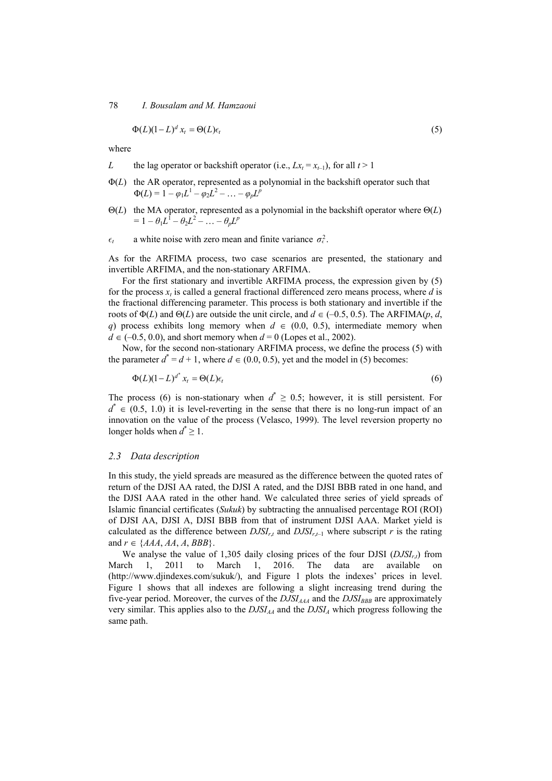$$
\Phi(L)(1-L)^d x_t = \Theta(L)\epsilon_t \tag{5}
$$

where

*L* the lag operator or backshift operator (i.e.,  $Lx_t = x_{t-1}$ ), for all  $t > 1$ 

- $\Phi(L)$  the AR operator, represented as a polynomial in the backshift operator such that  $\Phi(L) = 1 - \varphi_1 L^1 - \varphi_2 L^2 - \ldots - \varphi_p L^p$
- $\Theta(L)$  the MA operator, represented as a polynomial in the backshift operator where  $\Theta(L)$  $= 1 - \theta_1 L^1 - \theta_2 L^2 - \ldots - \theta_p L^p$
- $\epsilon_t$  a white noise with zero mean and finite variance  $\sigma_{\epsilon}^2$ .

As for the ARFIMA process, two case scenarios are presented, the stationary and invertible ARFIMA, and the non-stationary ARFIMA.

For the first stationary and invertible ARFIMA process, the expression given by (5) for the process *xt* is called a general fractional differenced zero means process, where *d* is the fractional differencing parameter. This process is both stationary and invertible if the roots of  $\Phi(L)$  and  $\Theta(L)$  are outside the unit circle, and  $d \in (-0.5, 0.5)$ . The ARFIMA(*p*, *d*, *q*) process exhibits long memory when  $d \in (0.0, 0.5)$ , intermediate memory when  $d \in (-0.5, 0.0)$ , and short memory when  $d = 0$  (Lopes et al., 2002).

Now, for the second non-stationary ARFIMA process, we define the process (5) with the parameter  $d^* = d + 1$ , where  $d \in (0.0, 0.5)$ , yet and the model in (5) becomes:

$$
\Phi(L)(1-L)^{d^*} x_t = \Theta(L)\epsilon_t \tag{6}
$$

The process (6) is non-stationary when  $d^* \geq 0.5$ ; however, it is still persistent. For  $d^* \in (0.5, 1.0)$  it is level-reverting in the sense that there is no long-run impact of an innovation on the value of the process (Velasco, 1999). The level reversion property no longer holds when  $d^* \geq 1$ .

#### *2.3 Data description*

In this study, the yield spreads are measured as the difference between the quoted rates of return of the DJSI AA rated, the DJSI A rated, and the DJSI BBB rated in one hand, and the DJSI AAA rated in the other hand. We calculated three series of yield spreads of Islamic financial certificates (*Sukuk*) by subtracting the annualised percentage ROI (ROI) of DJSI AA, DJSI A, DJSI BBB from that of instrument DJSI AAA. Market yield is calculated as the difference between  $DJSI_{r,t}$  and  $DJSI_{r,t-1}$  where subscript *r* is the rating and  $r \in \{AAA, AA, A, BBB\}.$ 

We analyse the value of 1,305 daily closing prices of the four DJSI (*DJSI<sub>rt</sub>*) from March 1, 2011 to March 1, 2016. The data are available on (http://www.djindexes.com/sukuk/), and Figure 1 plots the indexes' prices in level. Figure 1 shows that all indexes are following a slight increasing trend during the five-year period. Moreover, the curves of the  $DJSI_{AAA}$  and the  $DJSI_{BBB}$  are approximately very similar. This applies also to the  $DJSI_{AA}$  and the  $DJSI_{A}$  which progress following the same path.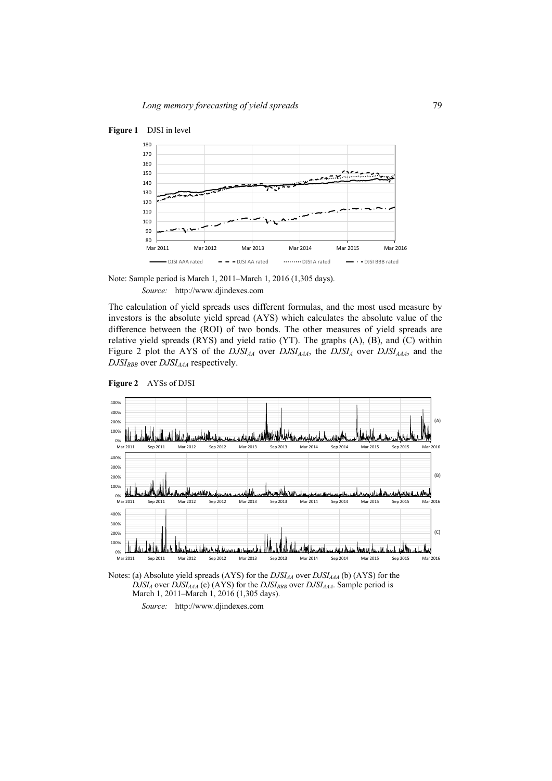



Note: Sample period is March 1, 2011–March 1, 2016 (1,305 days). *Source:* http://www.djindexes.com

The calculation of yield spreads uses different formulas, and the most used measure by investors is the absolute yield spread (AYS) which calculates the absolute value of the difference between the (ROI) of two bonds. The other measures of yield spreads are relative yield spreads (RYS) and yield ratio (YT). The graphs (A), (B), and (C) within Figure 2 plot the AYS of the  $DJSI_{AA}$  over  $DJSI_{AAA}$ , the  $DJSI_{A}$  over  $DJSI_{AAA}$ , and the *DJSI<sub>BBB</sub>* over *DJSI<sub>AAA</sub>* respectively.





Notes: (a) Absolute yield spreads (AYS) for the  $DJSI_{AA}$  over  $DJSI_{AAA}$  (b) (AYS) for the  $DJSI<sub>A</sub>$  over  $DJSI<sub>AAA</sub>$  (c) (AYS) for the  $DJSI<sub>BBB</sub>$  over  $DJSI<sub>AAA</sub>$ . Sample period is March 1, 2011–March 1, 2016 (1,305 days). *Source:* http://www.djindexes.com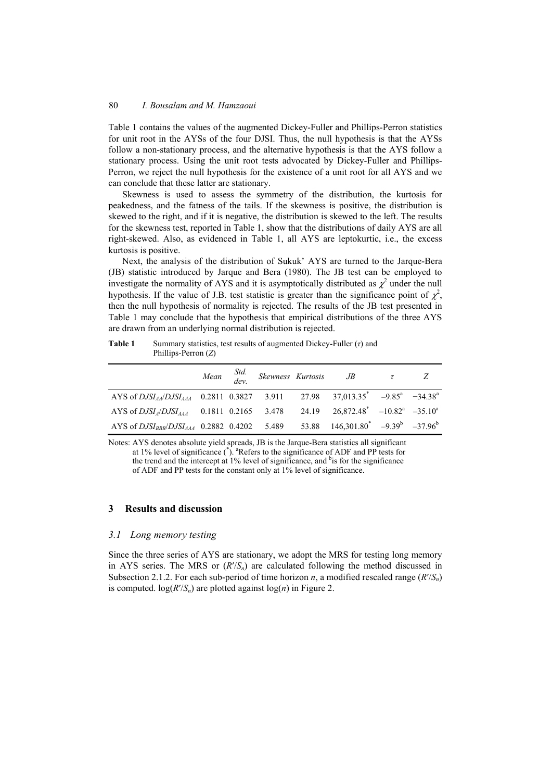Table 1 contains the values of the augmented Dickey-Fuller and Phillips-Perron statistics for unit root in the AYSs of the four DJSI. Thus, the null hypothesis is that the AYSs follow a non-stationary process, and the alternative hypothesis is that the AYS follow a stationary process. Using the unit root tests advocated by Dickey-Fuller and Phillips-Perron, we reject the null hypothesis for the existence of a unit root for all AYS and we can conclude that these latter are stationary.

Skewness is used to assess the symmetry of the distribution, the kurtosis for peakedness, and the fatness of the tails. If the skewness is positive, the distribution is skewed to the right, and if it is negative, the distribution is skewed to the left. The results for the skewness test, reported in Table 1, show that the distributions of daily AYS are all right-skewed. Also, as evidenced in Table 1, all AYS are leptokurtic, i.e., the excess kurtosis is positive.

Next, the analysis of the distribution of Sukuk' AYS are turned to the Jarque-Bera (JB) statistic introduced by Jarque and Bera (1980). The JB test can be employed to investigate the normality of AYS and it is asymptotically distributed as  $\chi^2$  under the null hypothesis. If the value of J.B. test statistic is greater than the significance point of  $\chi^2$ , then the null hypothesis of normality is rejected. The results of the JB test presented in Table 1 may conclude that the hypothesis that empirical distributions of the three AYS are drawn from an underlying normal distribution is rejected.

**Table 1** Summary statistics, test results of augmented Dickey-Fuller (*τ*) and Phillips-Perron (*Z*)

|                                                                                                                          |  |  | Mean Std. Skewness Kurtosis JB $\tau$ Z |  |
|--------------------------------------------------------------------------------------------------------------------------|--|--|-----------------------------------------|--|
| AYS of $DJSI_{AA}/DJSI_{AAA}$ 0.2811 0.3827 3.911 27.98 37,013.35* -9.85 <sup>a</sup> -34.38 <sup>a</sup>                |  |  |                                         |  |
| AYS of $DJSI_A/DJSI_{AA4}$ 0.1811 0.2165 3.478 24.19 26,872.48* -10.82 <sup>a</sup> -35.10 <sup>a</sup>                  |  |  |                                         |  |
| AYS of $DJSI_{BB} / DJSI_{AAA}$ 0.2882 0.4202 5.489 53.88 146,301.80 <sup>*</sup> -9.39 <sup>b</sup> -37.96 <sup>b</sup> |  |  |                                         |  |

Notes: AYS denotes absolute yield spreads, JB is the Jarque-Bera statistics all significant at 1% level of significance (\*). <sup>a</sup>Refers to the significance of ADF and PP tests for the trend and the intercept at  $1\%$  level of significance, and  $\overline{b}$  is for the significance of ADF and PP tests for the constant only at 1% level of significance.

## **3 Results and discussion**

### *3.1 Long memory testing*

Since the three series of AYS are stationary, we adopt the MRS for testing long memory in AYS series. The MRS or  $(R'/S_n)$  are calculated following the method discussed in Subsection 2.1.2. For each sub-period of time horizon *n*, a modified rescaled range  $(R'/S_n)$ is computed.  $log(R'/S_n)$  are plotted against  $log(n)$  in Figure 2.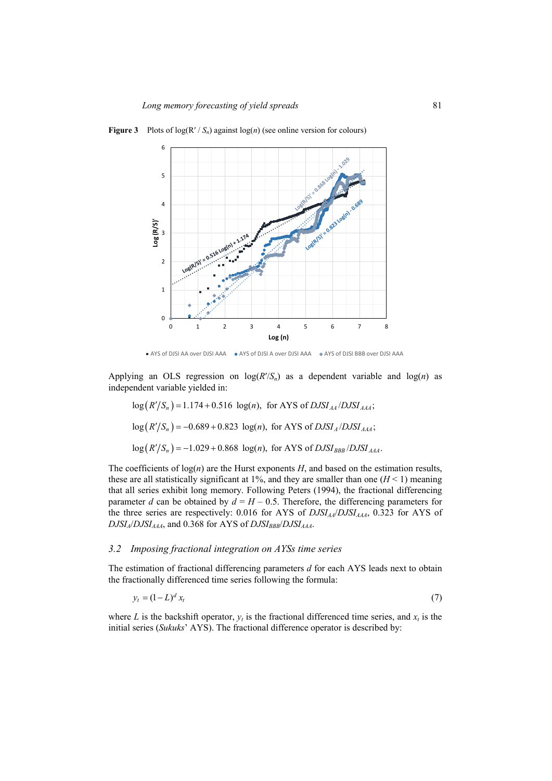

**Figure 3** Plots of  $log(R'/S_n)$  against  $log(n)$  (see online version for colours)

■ AYS of DJSI AA over DJSI AAA ● AYS of DJSI A over DJSI AAA ◆ AYS of DJSI BBB over DJSI AAA

Applying an OLS regression on  $log(R'/S_n)$  as a dependent variable and  $log(n)$  as independent variable yielded in:

$$
\log (R'/S_n) = 1.174 + 0.516 \log(n), \text{ for AYS of } DJSI_{AA}/DJSI_{AAA};
$$

 $\log (R'/S_n) = -0.689 + 0.823 \log(n)$ , for AYS of  $DJSI_A/DJSI_{AAA}$ ;

$$
\log (R'/S_n) = -1.029 + 0.868 \log(n), \text{ for AYS of } DJSI_{BBB}/DJSI_{AAA}.
$$

The coefficients of log(*n*) are the Hurst exponents *H*, and based on the estimation results, these are all statistically significant at 1%, and they are smaller than one  $(H < 1)$  meaning that all series exhibit long memory. Following Peters (1994), the fractional differencing parameter *d* can be obtained by  $d = H - 0.5$ . Therefore, the differencing parameters for the three series are respectively: 0.016 for AYS of *DJSI<sub>AA</sub>*/*DJSI<sub>AAA</sub>*, 0.323 for AYS of *DJSI<sub>A</sub>*/*DJSI<sub>AAA</sub>*, and 0.368 for AYS of *DJSI<sub>BBB</sub>*/*DJSI<sub>AAA</sub>*.

## *3.2 Imposing fractional integration on AYSs time series*

The estimation of fractional differencing parameters *d* for each AYS leads next to obtain the fractionally differenced time series following the formula:

$$
y_t = (1 - L)^d x_t \tag{7}
$$

where *L* is the backshift operator,  $y_t$  is the fractional differenced time series, and  $x_t$  is the initial series (*Sukuks*' AYS). The fractional difference operator is described by: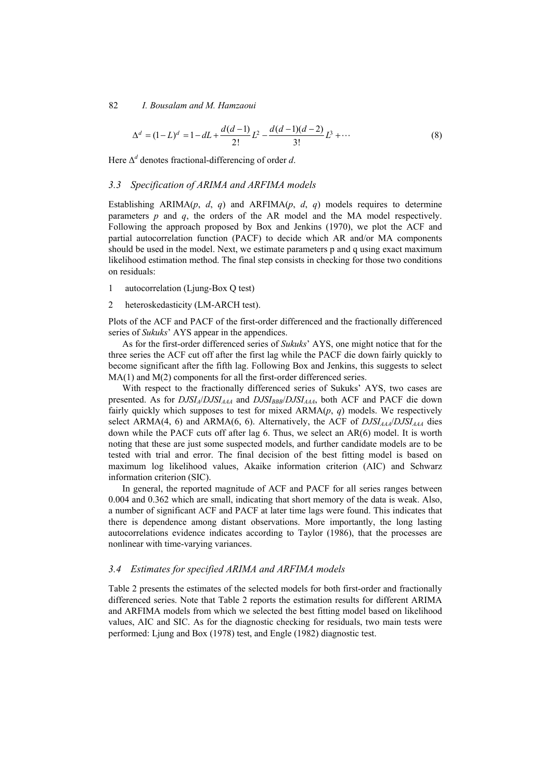$$
\Delta^{d} = (1 - L)^{d} = 1 - dL + \frac{d(d - 1)}{2!}L^{2} - \frac{d(d - 1)(d - 2)}{3!}L^{3} + \cdots
$$
\n(8)

Here Δ*<sup>d</sup>* denotes fractional-differencing of order *d*.

#### *3.3 Specification of ARIMA and ARFIMA models*

Establishing ARIMA(*p*, *d*, *q*) and ARFIMA(*p*, *d*, *q*) models requires to determine parameters *p* and *q*, the orders of the AR model and the MA model respectively. Following the approach proposed by Box and Jenkins (1970), we plot the ACF and partial autocorrelation function (PACF) to decide which AR and/or MA components should be used in the model. Next, we estimate parameters p and q using exact maximum likelihood estimation method. The final step consists in checking for those two conditions on residuals:

- 1 autocorrelation (Ljung-Box Q test)
- 2 heteroskedasticity (LM-ARCH test).

Plots of the ACF and PACF of the first-order differenced and the fractionally differenced series of *Sukuks*' AYS appear in the appendices.

As for the first-order differenced series of *Sukuks*' AYS, one might notice that for the three series the ACF cut off after the first lag while the PACF die down fairly quickly to become significant after the fifth lag. Following Box and Jenkins, this suggests to select MA(1) and M(2) components for all the first-order differenced series.

With respect to the fractionally differenced series of Sukuks' AYS, two cases are presented. As for  $DJSI_A/DJSI_{AAA}$  and  $DJSI_{BBB}/DJSI_{AAA}$ , both ACF and PACF die down fairly quickly which supposes to test for mixed ARMA(*p*, *q*) models. We respectively select ARMA(4, 6) and ARMA(6, 6). Alternatively, the ACF of *DJSIAAA*/*DJSIAAA* dies down while the PACF cuts off after lag 6. Thus, we select an AR(6) model. It is worth noting that these are just some suspected models, and further candidate models are to be tested with trial and error. The final decision of the best fitting model is based on maximum log likelihood values, Akaike information criterion (AIC) and Schwarz information criterion (SIC).

In general, the reported magnitude of ACF and PACF for all series ranges between 0.004 and 0.362 which are small, indicating that short memory of the data is weak. Also, a number of significant ACF and PACF at later time lags were found. This indicates that there is dependence among distant observations. More importantly, the long lasting autocorrelations evidence indicates according to Taylor (1986), that the processes are nonlinear with time-varying variances.

#### *3.4 Estimates for specified ARIMA and ARFIMA models*

Table 2 presents the estimates of the selected models for both first-order and fractionally differenced series. Note that Table 2 reports the estimation results for different ARIMA and ARFIMA models from which we selected the best fitting model based on likelihood values, AIC and SIC. As for the diagnostic checking for residuals, two main tests were performed: Ljung and Box (1978) test, and Engle (1982) diagnostic test.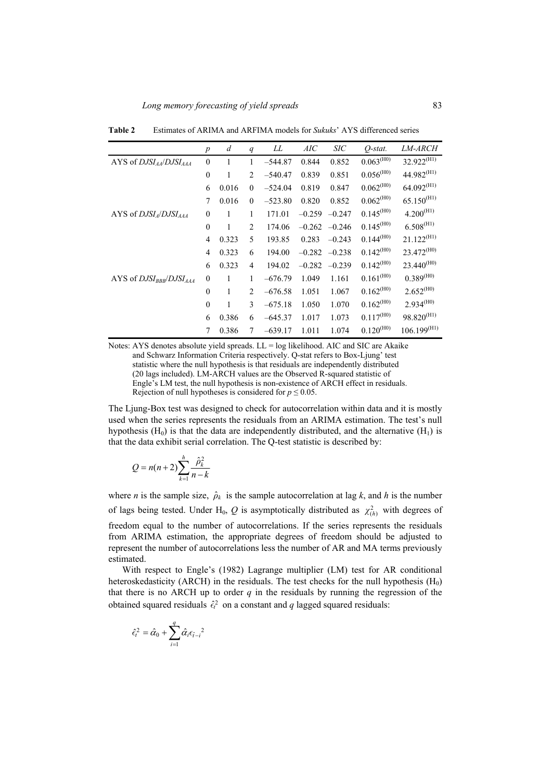|                                | $\boldsymbol{p}$ | $\boldsymbol{d}$ | q              | LL        | AIC      | SІC      | O-stat.               | <i>LM-ARCH</i>         |
|--------------------------------|------------------|------------------|----------------|-----------|----------|----------|-----------------------|------------------------|
| AYS of $DJSI_{AA}/DJSI_{AAA}$  | $\mathbf{0}$     | 1                | 1              | $-544.87$ | 0.844    | 0.852    | $0.063^{(H0)}$        | 32.922 <sup>(H1)</sup> |
|                                | $\mathbf{0}$     | 1                | $\overline{c}$ | $-540.47$ | 0.839    | 0.851    | $0.056^{(H0)}$        | 44.982 <sup>(H1)</sup> |
|                                | 6                | 0.016            | $\mathbf{0}$   | $-524.04$ | 0.819    | 0.847    | $0.062^{(H0)}$        | $64.092^{(H1)}$        |
|                                | 7                | 0.016            | $\theta$       | $-523.80$ | 0.820    | 0.852    | $0.062^{(H0)}$        | $65.150^{(H1)}$        |
| AYS of $DJSI_4/DJSI_{444}$     | $\boldsymbol{0}$ | 1                | $\mathbf{1}$   | 171.01    | $-0.259$ | $-0.247$ | $0.145^{(H0)}$        | $4.200^{(H1)}$         |
|                                | $\mathbf{0}$     | 1                | $\overline{2}$ | 174.06    | $-0.262$ | $-0.246$ | $0.145^{(H0)}$        | $6.508^{(H1)}$         |
|                                | 4                | 0.323            | 5              | 193.85    | 0.283    | $-0.243$ | $0.144^{(H0)}$        | $21.122^{(H1)}$        |
|                                | 4                | 0.323            | 6              | 194.00    | $-0.282$ | $-0.238$ | $0.142^{(H0)}$        | $23.472^{(H0)}$        |
|                                | 6                | 0.323            | $\overline{4}$ | 194.02    | $-0.282$ | $-0.239$ | $0.142^{(H0)}$        | $23.440^{(H0)}$        |
| AYS of $DJSI_{RRR}/DJSI_{AAA}$ | $\mathbf{0}$     | 1                | 1              | $-676.79$ | 1.049    | 1.161    | $0.161^{(H0)}$        | 0.389(H0)              |
|                                | $\boldsymbol{0}$ | $\mathbf{1}$     | $\overline{2}$ | $-676.58$ | 1.051    | 1.067    | $0.162^{(H0)}$        | $2.652^{(H0)}$         |
|                                | $\mathbf{0}$     | $\mathbf{1}$     | 3              | $-675.18$ | 1.050    | 1.070    | $0.162^{(H0)}$        | $2.934^{(H0)}$         |
|                                | 6                | 0.386            | 6              | $-645.37$ | 1.017    | 1.073    | $0.117^{(H0)}$        | $98.820^{(H1)}$        |
|                                | 7                | 0.386            | 7              | $-639.17$ | 1.011    | 1.074    | $0.120^\mathrm{(H0)}$ | $106.199^{(H1)}$       |

**Table 2** Estimates of ARIMA and ARFIMA models for *Sukuks*' AYS differenced series

Notes: AYS denotes absolute yield spreads. LL = log likelihood. AIC and SIC are Akaike and Schwarz Information Criteria respectively. Q-stat refers to Box-Ljung' test statistic where the null hypothesis is that residuals are independently distributed (20 lags included). LM-ARCH values are the Observed R-squared statistic of Engle's LM test, the null hypothesis is non-existence of ARCH effect in residuals. Rejection of null hypotheses is considered for  $p \le 0.05$ .

The Ljung-Box test was designed to check for autocorrelation within data and it is mostly used when the series represents the residuals from an ARIMA estimation. The test's null hypothesis  $(H_0)$  is that the data are independently distributed, and the alternative  $(H_1)$  is that the data exhibit serial correlation. The Q-test statistic is described by:

$$
Q = n(n+2) \sum_{k=1}^{h} \frac{\hat{\rho}_k^2}{n-k}
$$

where *n* is the sample size,  $\hat{\rho}_k$  is the sample autocorrelation at lag *k*, and *h* is the number of lags being tested. Under H<sub>0</sub>, *Q* is asymptotically distributed as  $\chi^2_{(h)}$  with degrees of freedom equal to the number of autocorrelations. If the series represents the residuals from ARIMA estimation, the appropriate degrees of freedom should be adjusted to represent the number of autocorrelations less the number of AR and MA terms previously estimated.

With respect to Engle's (1982) Lagrange multiplier (LM) test for AR conditional heteroskedasticity (ARCH) in the residuals. The test checks for the null hypothesis  $(H_0)$ that there is no ARCH up to order *q* in the residuals by running the regression of the obtained squared residuals  $\hat{\epsilon}_t^2$  on a constant and *q* lagged squared residuals:

$$
\hat{\epsilon}_t^2 = \hat{\alpha}_0 + \sum_{i=1}^q \hat{\alpha}_i \epsilon_{\hat{t}-i}^2
$$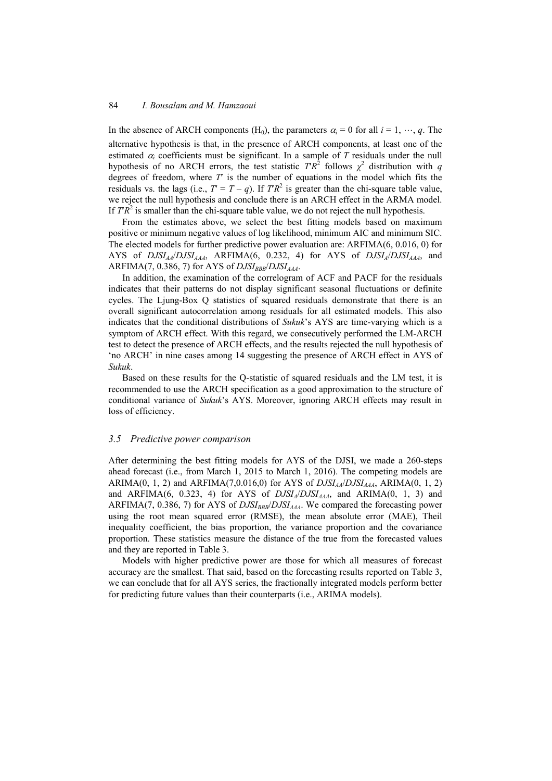In the absence of ARCH components (H<sub>0</sub>), the parameters  $\alpha_i = 0$  for all  $i = 1, \dots, q$ . The alternative hypothesis is that, in the presence of ARCH components, at least one of the estimated  $\alpha_i$  coefficients must be significant. In a sample of T residuals under the null hypothesis of no ARCH errors, the test statistic  $TR^2$  follows  $\chi^2$  distribution with *q* degrees of freedom, where *T*′ is the number of equations in the model which fits the residuals vs. the lags (i.e.,  $T = T - q$ ). If  $TR^2$  is greater than the chi-square table value, we reject the null hypothesis and conclude there is an ARCH effect in the ARMA model. If  $TR^2$  is smaller than the chi-square table value, we do not reject the null hypothesis.

From the estimates above, we select the best fitting models based on maximum positive or minimum negative values of log likelihood, minimum AIC and minimum SIC. The elected models for further predictive power evaluation are: ARFIMA(6, 0.016, 0) for AYS of  $DJSI_{AA}/DJSI_{AAA}$ , ARFIMA(6, 0.232, 4) for AYS of  $DJSI_{A}/DJSI_{AAA}$ , and ARFIMA(7, 0.386, 7) for AYS of  $DJSI_{BBB}/DJSI_{AAA}$ .

In addition, the examination of the correlogram of ACF and PACF for the residuals indicates that their patterns do not display significant seasonal fluctuations or definite cycles. The Ljung-Box Q statistics of squared residuals demonstrate that there is an overall significant autocorrelation among residuals for all estimated models. This also indicates that the conditional distributions of *Sukuk*'s AYS are time-varying which is a symptom of ARCH effect. With this regard, we consecutively performed the LM-ARCH test to detect the presence of ARCH effects, and the results rejected the null hypothesis of 'no ARCH' in nine cases among 14 suggesting the presence of ARCH effect in AYS of *Sukuk*.

Based on these results for the Q-statistic of squared residuals and the LM test, it is recommended to use the ARCH specification as a good approximation to the structure of conditional variance of *Sukuk*'s AYS. Moreover, ignoring ARCH effects may result in loss of efficiency.

#### *3.5 Predictive power comparison*

After determining the best fitting models for AYS of the DJSI, we made a 260-steps ahead forecast (i.e., from March 1, 2015 to March 1, 2016). The competing models are ARIMA(0, 1, 2) and ARFIMA(7,0.016,0) for AYS of *DJSIAA*/*DJSIAAA*, ARIMA(0, 1, 2) and ARFIMA(6, 0.323, 4) for AYS of  $DJSI<sub>A</sub>/DJSI<sub>AAA</sub>$ , and ARIMA(0, 1, 3) and ARFIMA(7, 0.386, 7) for AYS of *DJSI<sub>BBB</sub>*/*DJSI<sub>AAA</sub>*. We compared the forecasting power using the root mean squared error (RMSE), the mean absolute error (MAE), Theil inequality coefficient, the bias proportion, the variance proportion and the covariance proportion. These statistics measure the distance of the true from the forecasted values and they are reported in Table 3.

Models with higher predictive power are those for which all measures of forecast accuracy are the smallest. That said, based on the forecasting results reported on Table 3, we can conclude that for all AYS series, the fractionally integrated models perform better for predicting future values than their counterparts (i.e., ARIMA models).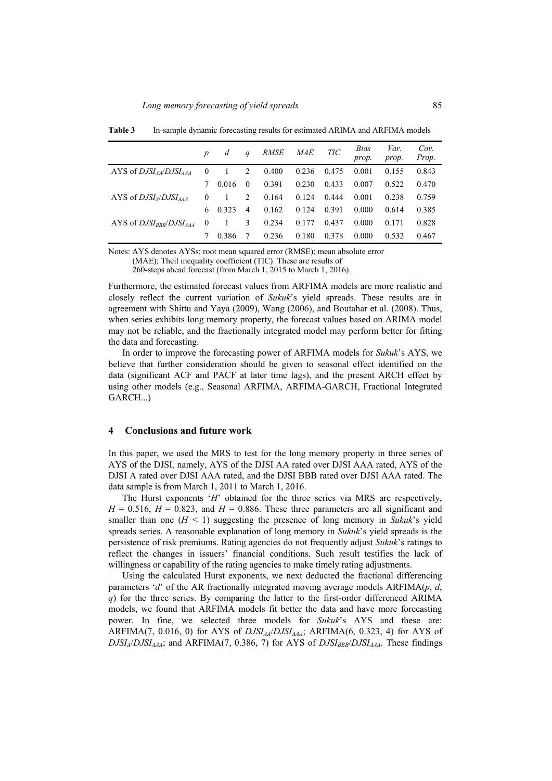|                               | p            | d     | $\boldsymbol{q}$ | RMSE  | <i>MAE</i> | TIC   | Bias<br>prop. | Var.<br>prop. | $Cov$ .<br>Prop. |
|-------------------------------|--------------|-------|------------------|-------|------------|-------|---------------|---------------|------------------|
| AYS of $DJSI_{44}/DJSI_{444}$ | $\theta$     |       | 2                | 0.400 | 0.236      | 0.475 | 0.001         | 0.155         | 0.843            |
|                               |              | 0.016 | - 0              | 0.391 | 0.230      | 0.433 | 0.007         | 0.522         | 0.470            |
| AYS of $DJSI_4/DJSI_{444}$    | $\mathbf{0}$ |       | 2                | 0.164 | 0.124      | 0.444 | 0.001         | 0.238         | 0.759            |
|                               | 6            | 0.323 | $\overline{4}$   | 0.162 | 0.124      | 0.391 | 0.000         | 0.614         | 0.385            |
| AYS of $DJSI_{RRR}/DJSI_{AA}$ | - 0          | -1    | 3                | 0.234 | 0.177      | 0.437 | 0.000         | 0.171         | 0.828            |
|                               |              | 0.386 |                  | 0.236 | 0.180      | 0.378 | 0.000         | 0.532         | 0.467            |

**Table 3** In-sample dynamic forecasting results for estimated ARIMA and ARFIMA models

Notes: AYS denotes AYSs; root mean squared error (RMSE); mean absolute error

(MAE); Theil inequality coefficient (TIC). These are results of

260-steps ahead forecast (from March 1, 2015 to March 1, 2016).

Furthermore, the estimated forecast values from ARFIMA models are more realistic and closely reflect the current variation of *Sukuk*'s yield spreads. These results are in agreement with Shittu and Yaya (2009), Wang (2006), and Boutahar et al. (2008). Thus, when series exhibits long memory property, the forecast values based on ARIMA model may not be reliable, and the fractionally integrated model may perform better for fitting the data and forecasting.

In order to improve the forecasting power of ARFIMA models for *Sukuk*'s AYS, we believe that further consideration should be given to seasonal effect identified on the data (significant ACF and PACF at later time lags), and the present ARCH effect by using other models (e.g., Seasonal ARFIMA, ARFIMA-GARCH, Fractional Integrated GARCH...)

## **4 Conclusions and future work**

In this paper, we used the MRS to test for the long memory property in three series of AYS of the DJSI, namely, AYS of the DJSI AA rated over DJSI AAA rated, AYS of the DJSI A rated over DJSI AAA rated, and the DJSI BBB rated over DJSI AAA rated. The data sample is from March 1, 2011 to March 1, 2016.

The Hurst exponents '*H*' obtained for the three series via MRS are respectively,  $H = 0.516$ ,  $H = 0.823$ , and  $H = 0.886$ . These three parameters are all significant and smaller than one  $(H \leq 1)$  suggesting the presence of long memory in *Sukuk*'s yield spreads series. A reasonable explanation of long memory in *Sukuk*'s yield spreads is the persistence of risk premiums. Rating agencies do not frequently adjust *Sukuk*'s ratings to reflect the changes in issuers' financial conditions. Such result testifies the lack of willingness or capability of the rating agencies to make timely rating adjustments.

Using the calculated Hurst exponents, we next deducted the fractional differencing parameters '*d*' of the AR fractionally integrated moving average models ARFIMA(*p*, *d*, *q*) for the three series. By comparing the latter to the first-order differenced ARIMA models, we found that ARFIMA models fit better the data and have more forecasting power. In fine, we selected three models for *Sukuk*'s AYS and these are: ARFIMA(7, 0.016, 0) for AYS of  $DJSI_{AA}/DJSI_{AA}$ ; ARFIMA(6, 0.323, 4) for AYS of  $DJSI_A/DJSI_{AAA}$ ; and  $ARFIMA(7, 0.386, 7)$  for AYS of  $DJSI_{BBB}/DJSI_{AAA}$ . These findings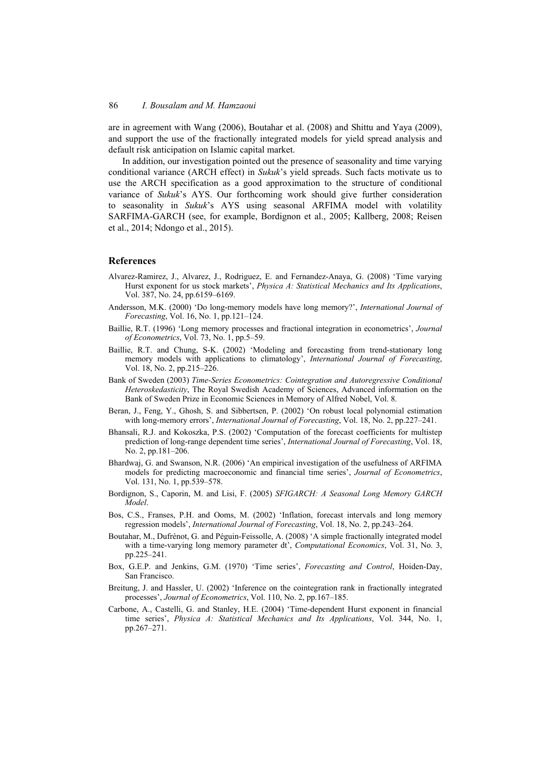are in agreement with Wang (2006), Boutahar et al. (2008) and Shittu and Yaya (2009), and support the use of the fractionally integrated models for yield spread analysis and default risk anticipation on Islamic capital market.

In addition, our investigation pointed out the presence of seasonality and time varying conditional variance (ARCH effect) in *Sukuk*'s yield spreads. Such facts motivate us to use the ARCH specification as a good approximation to the structure of conditional variance of *Sukuk*'s AYS. Our forthcoming work should give further consideration to seasonality in *Sukuk*'s AYS using seasonal ARFIMA model with volatility SARFIMA-GARCH (see, for example, Bordignon et al., 2005; Kallberg, 2008; Reisen et al., 2014; Ndongo et al., 2015).

## **References**

- Alvarez-Ramirez, J., Alvarez, J., Rodriguez, E. and Fernandez-Anaya, G. (2008) 'Time varying Hurst exponent for us stock markets', *Physica A: Statistical Mechanics and Its Applications*, Vol. 387, No. 24, pp.6159–6169.
- Andersson, M.K. (2000) 'Do long-memory models have long memory?', *International Journal of Forecasting*, Vol. 16, No. 1, pp.121–124.
- Baillie, R.T. (1996) 'Long memory processes and fractional integration in econometrics', *Journal of Econometrics*, Vol. 73, No. 1, pp.5–59.
- Baillie, R.T. and Chung, S-K. (2002) 'Modeling and forecasting from trend-stationary long memory models with applications to climatology', *International Journal of Forecasting*, Vol. 18, No. 2, pp.215–226.
- Bank of Sweden (2003) *Time-Series Econometrics: Cointegration and Autoregressive Conditional Heteroskedasticity*, The Royal Swedish Academy of Sciences, Advanced information on the Bank of Sweden Prize in Economic Sciences in Memory of Alfred Nobel, Vol. 8.
- Beran, J., Feng, Y., Ghosh, S. and Sibbertsen, P. (2002) 'On robust local polynomial estimation with long-memory errors', *International Journal of Forecasting*, Vol. 18, No. 2, pp.227–241.
- Bhansali, R.J. and Kokoszka, P.S. (2002) 'Computation of the forecast coefficients for multistep prediction of long-range dependent time series', *International Journal of Forecasting*, Vol. 18, No. 2, pp.181–206.
- Bhardwaj, G. and Swanson, N.R. (2006) 'An empirical investigation of the usefulness of ARFIMA models for predicting macroeconomic and financial time series', *Journal of Econometrics*, Vol. 131, No. 1, pp.539–578.
- Bordignon, S., Caporin, M. and Lisi, F. (2005) *SFIGARCH: A Seasonal Long Memory GARCH Model*.
- Bos, C.S., Franses, P.H. and Ooms, M. (2002) 'Inflation, forecast intervals and long memory regression models', *International Journal of Forecasting*, Vol. 18, No. 2, pp.243–264.
- Boutahar, M., Dufrénot, G. and Péguin-Feissolle, A. (2008) 'A simple fractionally integrated model with a time-varying long memory parameter dt', *Computational Economics*, Vol. 31, No. 3, pp.225–241.
- Box, G.E.P. and Jenkins, G.M. (1970) 'Time series', *Forecasting and Control*, Hoiden-Day, San Francisco.
- Breitung, J. and Hassler, U. (2002) 'Inference on the cointegration rank in fractionally integrated processes', *Journal of Econometrics*, Vol. 110, No. 2, pp.167–185.
- Carbone, A., Castelli, G. and Stanley, H.E. (2004) 'Time-dependent Hurst exponent in financial time series', *Physica A: Statistical Mechanics and Its Applications*, Vol. 344, No. 1, pp.267–271.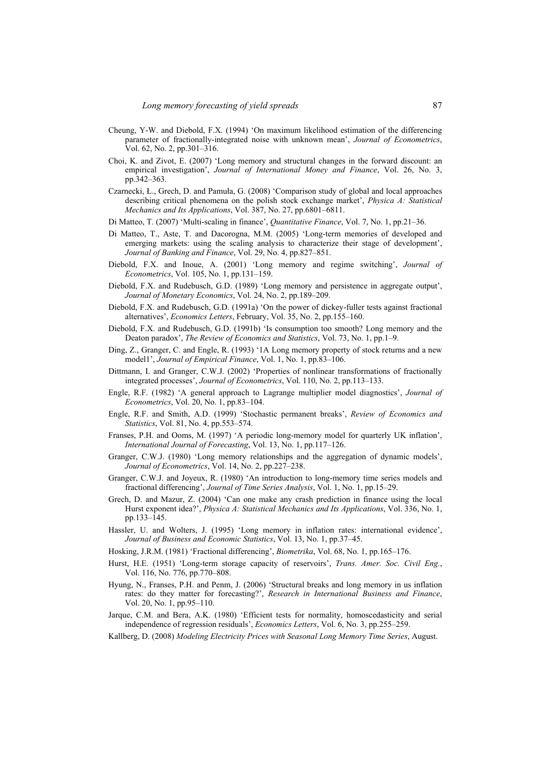- Cheung, Y-W. and Diebold, F.X. (1994) 'On maximum likelihood estimation of the differencing parameter of fractionally-integrated noise with unknown mean', *Journal of Econometrics*, Vol. 62, No. 2, pp.301–316.
- Choi, K. and Zivot, E. (2007) 'Long memory and structural changes in the forward discount: an empirical investigation', *Journal of International Money and Finance*, Vol. 26, No. 3, pp.342–363.
- Czarnecki, Ł., Grech, D. and Pamuła, G. (2008) 'Comparison study of global and local approaches describing critical phenomena on the polish stock exchange market', *Physica A: Statistical Mechanics and Its Applications*, Vol. 387, No. 27, pp.6801–6811.
- Di Matteo, T. (2007) 'Multi-scaling in finance', *Quantitative Finance*, Vol. 7, No. 1, pp.21–36.
- Di Matteo, T., Aste, T. and Dacorogna, M.M. (2005) 'Long-term memories of developed and emerging markets: using the scaling analysis to characterize their stage of development', *Journal of Banking and Finance*, Vol. 29, No. 4, pp.827–851.
- Diebold, F.X. and Inoue, A. (2001) 'Long memory and regime switching', *Journal of Econometrics*, Vol. 105, No. 1, pp.131–159.
- Diebold, F.X. and Rudebusch, G.D. (1989) 'Long memory and persistence in aggregate output', *Journal of Monetary Economics*, Vol. 24, No. 2, pp.189–209.
- Diebold, F.X. and Rudebusch, G.D. (1991a) 'On the power of dickey-fuller tests against fractional alternatives', *Economics Letters*, February, Vol. 35, No. 2, pp.155–160.
- Diebold, F.X. and Rudebusch, G.D. (1991b) 'Is consumption too smooth? Long memory and the Deaton paradox', *The Review of Economics and Statistics*, Vol. 73, No. 1, pp.1–9.
- Ding, Z., Granger, C. and Engle, R. (1993) '1A Long memory property of stock returns and a new model1', *Journal of Empirical Finance*, Vol. 1, No. 1, pp.83–106.
- Dittmann, I. and Granger, C.W.J. (2002) 'Properties of nonlinear transformations of fractionally integrated processes', *Journal of Econometrics*, Vol. 110, No. 2, pp.113–133.
- Engle, R.F. (1982) 'A general approach to Lagrange multiplier model diagnostics', *Journal of Econometrics*, Vol. 20, No. 1, pp.83–104.
- Engle, R.F. and Smith, A.D. (1999) 'Stochastic permanent breaks', *Review of Economics and Statistics*, Vol. 81, No. 4, pp.553–574.
- Franses, P.H. and Ooms, M. (1997) 'A periodic long-memory model for quarterly UK inflation', *International Journal of Forecasting*, Vol. 13, No. 1, pp.117–126.
- Granger, C.W.J. (1980) 'Long memory relationships and the aggregation of dynamic models', *Journal of Econometrics*, Vol. 14, No. 2, pp.227–238.
- Granger, C.W.J. and Joyeux, R. (1980) 'An introduction to long-memory time series models and fractional differencing', *Journal of Time Series Analysis*, Vol. 1, No. 1, pp.15–29.
- Grech, D. and Mazur, Z. (2004) 'Can one make any crash prediction in finance using the local Hurst exponent idea?', *Physica A: Statistical Mechanics and Its Applications*, Vol. 336, No. 1, pp.133–145.
- Hassler, U. and Wolters, J. (1995) 'Long memory in inflation rates: international evidence', *Journal of Business and Economic Statistics*, Vol. 13, No. 1, pp.37–45.
- Hosking, J.R.M. (1981) 'Fractional differencing', *Biometrika*, Vol. 68, No. 1, pp.165–176.
- Hurst, H.E. (1951) 'Long-term storage capacity of reservoirs', *Trans. Amer. Soc. Civil Eng.*, Vol. 116, No. 776, pp.770–808.
- Hyung, N., Franses, P.H. and Penm, J. (2006) 'Structural breaks and long memory in us inflation rates: do they matter for forecasting?', *Research in International Business and Finance*, Vol. 20, No. 1, pp.95–110.
- Jarque, C.M. and Bera, A.K. (1980) 'Efficient tests for normality, homoscedasticity and serial independence of regression residuals', *Economics Letters*, Vol. 6, No. 3, pp.255–259.
- Kallberg, D. (2008) *Modeling Electricity Prices with Seasonal Long Memory Time Series*, August.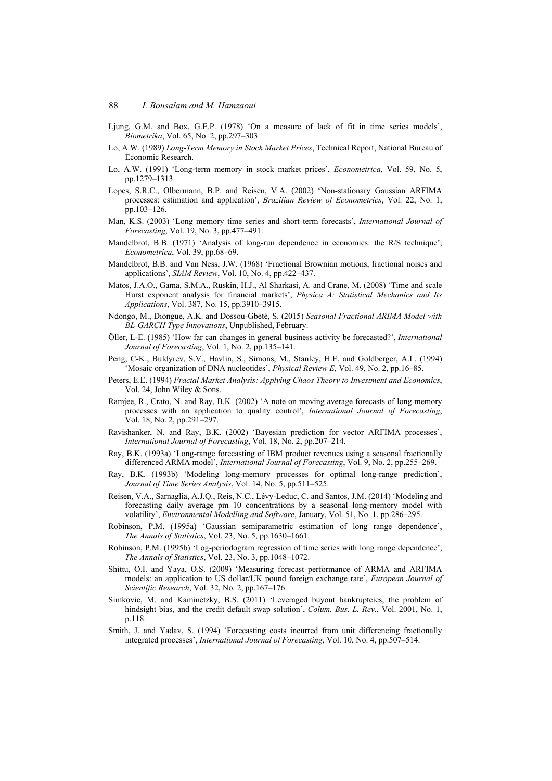- Ljung, G.M. and Box, G.E.P. (1978) 'On a measure of lack of fit in time series models', *Biometrika*, Vol. 65, No. 2, pp.297–303.
- Lo, A.W. (1989) *Long-Term Memory in Stock Market Prices*, Technical Report, National Bureau of Economic Research.
- Lo, A.W. (1991) 'Long-term memory in stock market prices', *Econometrica*, Vol. 59, No. 5, pp.1279–1313.
- Lopes, S.R.C., Olbermann, B.P. and Reisen, V.A. (2002) 'Non-stationary Gaussian ARFIMA processes: estimation and application', *Brazilian Review of Econometrics*, Vol. 22, No. 1, pp.103–126.
- Man, K.S. (2003) 'Long memory time series and short term forecasts', *International Journal of Forecasting*, Vol. 19, No. 3, pp.477–491.
- Mandelbrot, B.B. (1971) 'Analysis of long-run dependence in economics: the R/S technique', *Econometrica*, Vol. 39, pp.68–69.
- Mandelbrot, B.B. and Van Ness, J.W. (1968) 'Fractional Brownian motions, fractional noises and applications', *SIAM Review*, Vol. 10, No. 4, pp.422–437.
- Matos, J.A.O., Gama, S.M.A., Ruskin, H.J., Al Sharkasi, A. and Crane, M. (2008) 'Time and scale Hurst exponent analysis for financial markets', *Physica A: Statistical Mechanics and Its Applications*, Vol. 387, No. 15, pp.3910–3915.
- Ndongo, M., Diongue, A.K. and Dossou-Gbété, S. (2015) *Seasonal Fractional ARIMA Model with BL-GARCH Type Innovations*, Unpublished, February.
- Öller, L-E. (1985) 'How far can changes in general business activity be forecasted?', *International Journal of Forecasting*, Vol. 1, No. 2, pp.135–141.
- Peng, C-K., Buldyrev, S.V., Havlin, S., Simons, M., Stanley, H.E. and Goldberger, A.L. (1994) 'Mosaic organization of DNA nucleotides', *Physical Review E*, Vol. 49, No. 2, pp.16–85.
- Peters, E.E. (1994) *Fractal Market Analysis: Applying Chaos Theory to Investment and Economics*, Vol. 24, John Wiley & Sons.
- Ramjee, R., Crato, N. and Ray, B.K. (2002) 'A note on moving average forecasts of long memory processes with an application to quality control', *International Journal of Forecasting*, Vol. 18, No. 2, pp.291–297.
- Ravishanker, N. and Ray, B.K. (2002) 'Bayesian prediction for vector ARFIMA processes', *International Journal of Forecasting*, Vol. 18, No. 2, pp.207–214.
- Ray, B.K. (1993a) 'Long-range forecasting of IBM product revenues using a seasonal fractionally differenced ARMA model', *International Journal of Forecasting*, Vol. 9, No. 2, pp.255–269.
- Ray, B.K. (1993b) 'Modeling long-memory processes for optimal long-range prediction', *Journal of Time Series Analysis*, Vol. 14, No. 5, pp.511–525.
- Reisen, V.A., Sarnaglia, A.J.Q., Reis, N.C., Lévy-Leduc, C. and Santos, J.M. (2014) 'Modeling and forecasting daily average pm 10 concentrations by a seasonal long-memory model with volatility', *Environmental Modelling and Software*, January, Vol. 51, No. 1, pp.286–295.
- Robinson, P.M. (1995a) 'Gaussian semiparametric estimation of long range dependence', *The Annals of Statistics*, Vol. 23, No. 5, pp.1630–1661.
- Robinson, P.M. (1995b) 'Log-periodogram regression of time series with long range dependence', *The Annals of Statistics*, Vol. 23, No. 3, pp.1048–1072.
- Shittu, O.I. and Yaya, O.S. (2009) 'Measuring forecast performance of ARMA and ARFIMA models: an application to US dollar/UK pound foreign exchange rate', *European Journal of Scientific Research*, Vol. 32, No. 2, pp.167–176.
- Simkovic, M. and Kaminetzky, B.S. (2011) 'Leveraged buyout bankruptcies, the problem of hindsight bias, and the credit default swap solution', *Colum. Bus. L. Rev.*, Vol. 2001, No. 1, p.118.
- Smith, J. and Yadav, S. (1994) 'Forecasting costs incurred from unit differencing fractionally integrated processes', *International Journal of Forecasting*, Vol. 10, No. 4, pp.507–514.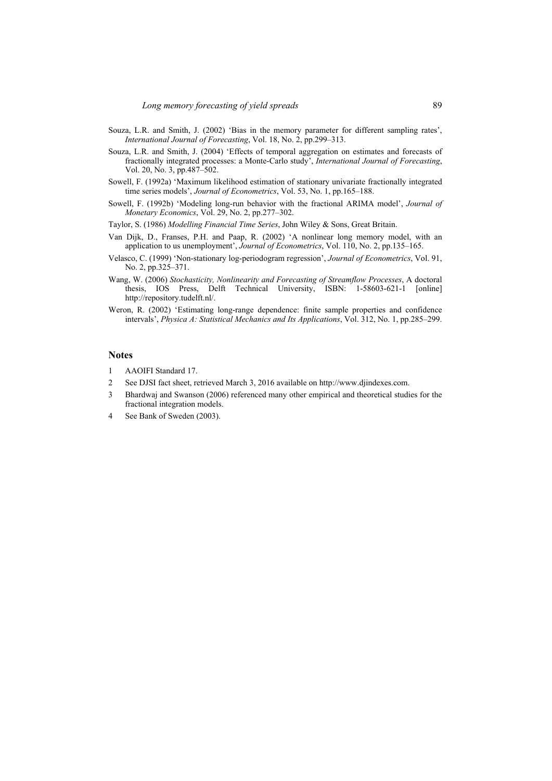- Souza, L.R. and Smith, J. (2002) 'Bias in the memory parameter for different sampling rates', *International Journal of Forecasting*, Vol. 18, No. 2, pp.299–313.
- Souza, L.R. and Smith, J. (2004) 'Effects of temporal aggregation on estimates and forecasts of fractionally integrated processes: a Monte-Carlo study', *International Journal of Forecasting*, Vol. 20, No. 3, pp.487–502.
- Sowell, F. (1992a) 'Maximum likelihood estimation of stationary univariate fractionally integrated time series models', *Journal of Econometrics*, Vol. 53, No. 1, pp.165–188.
- Sowell, F. (1992b) 'Modeling long-run behavior with the fractional ARIMA model', *Journal of Monetary Economics*, Vol. 29, No. 2, pp.277–302.
- Taylor, S. (1986) *Modelling Financial Time Series*, John Wiley & Sons, Great Britain.
- Van Dijk, D., Franses, P.H. and Paap, R. (2002) 'A nonlinear long memory model, with an application to us unemployment', *Journal of Econometrics*, Vol. 110, No. 2, pp.135–165.
- Velasco, C. (1999) 'Non-stationary log-periodogram regression', *Journal of Econometrics*, Vol. 91, No. 2, pp.325–371.
- Wang, W. (2006) *Stochasticity, Nonlinearity and Forecasting of Streamflow Processes*, A doctoral thesis, IOS Press, Delft Technical University, ISBN: 1-58603-621-1 [online] http://repository.tudelft.nl/.
- Weron, R. (2002) 'Estimating long-range dependence: finite sample properties and confidence intervals', *Physica A: Statistical Mechanics and Its Applications*, Vol. 312, No. 1, pp.285–299.

#### **Notes**

- 1 AAOIFI Standard 17.
- 2 See DJSI fact sheet, retrieved March 3, 2016 available on http://www.djindexes.com.
- 3 Bhardwaj and Swanson (2006) referenced many other empirical and theoretical studies for the fractional integration models.
- 4 See Bank of Sweden (2003).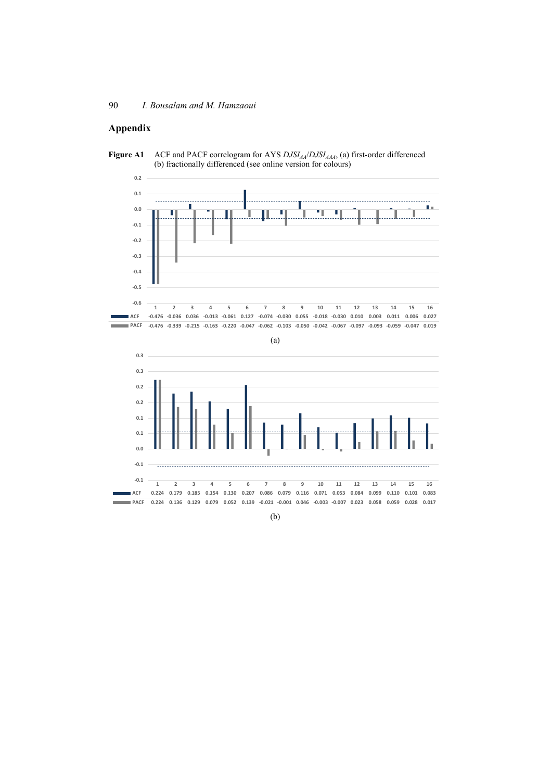# **Appendix**



Figure A1 ACF and PACF correlogram for AYS  $DJSI_{AA}/DJSI_{AAA}$ , (a) first-order differenced (b) fractionally differenced (see online version for colours)

(b)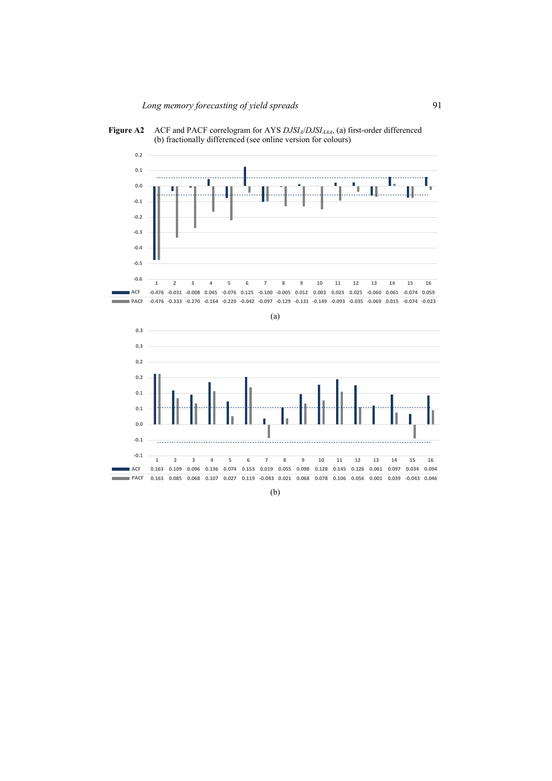

Figure A2 ACF and PACF correlogram for AYS  $DJSI_A/DJSI_{AAA}$ , (a) first-order differenced (b) fractionally differenced (see online version for colours)